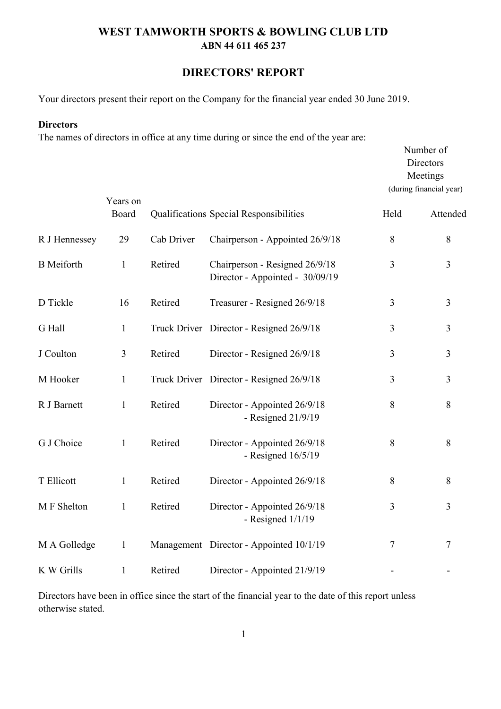## **DIRECTORS' REPORT**

Number of

Your directors present their report on the Company for the financial year ended 30 June 2019.

#### **Directors**

The names of directors in office at any time during or since the end of the year are:

|                   |                   |            |                                                                   |      | Directors<br>Meetings<br>(during financial year) |
|-------------------|-------------------|------------|-------------------------------------------------------------------|------|--------------------------------------------------|
|                   | Years on<br>Board |            | Qualifications Special Responsibilities                           | Held | Attended                                         |
| R J Hennessey     | 29                | Cab Driver | Chairperson - Appointed 26/9/18                                   | 8    | 8                                                |
| <b>B</b> Meiforth | $\mathbf{1}$      | Retired    | Chairperson - Resigned 26/9/18<br>Director - Appointed - 30/09/19 | 3    | 3                                                |
| D Tickle          | 16                | Retired    | Treasurer - Resigned 26/9/18                                      | 3    | 3                                                |
| G Hall            | $\mathbf{1}$      |            | Truck Driver Director - Resigned 26/9/18                          | 3    | 3                                                |
| J Coulton         | $\overline{3}$    | Retired    | Director - Resigned 26/9/18                                       | 3    | 3                                                |
| M Hooker          | $\mathbf{1}$      |            | Truck Driver Director - Resigned 26/9/18                          | 3    | $\overline{3}$                                   |
| R J Barnett       | $\mathbf{1}$      | Retired    | Director - Appointed 26/9/18<br>- Resigned $21/9/19$              | 8    | 8                                                |
| G J Choice        | $\mathbf{1}$      | Retired    | Director - Appointed 26/9/18<br>- Resigned $16/5/19$              | 8    | 8                                                |
| T Ellicott        | $\mathbf{1}$      | Retired    | Director - Appointed 26/9/18                                      | 8    | 8                                                |
| M F Shelton       | $\mathbf{1}$      | Retired    | Director - Appointed 26/9/18<br>- Resigned $1/1/19$               | 3    | 3                                                |
| M A Golledge      | $\mathbf{1}$      |            | Management Director - Appointed 10/1/19                           | 7    | 7                                                |
| K W Grills        | 1                 | Retired    | Director - Appointed 21/9/19                                      |      |                                                  |

Directors have been in office since the start of the financial year to the date of this report unless otherwise stated.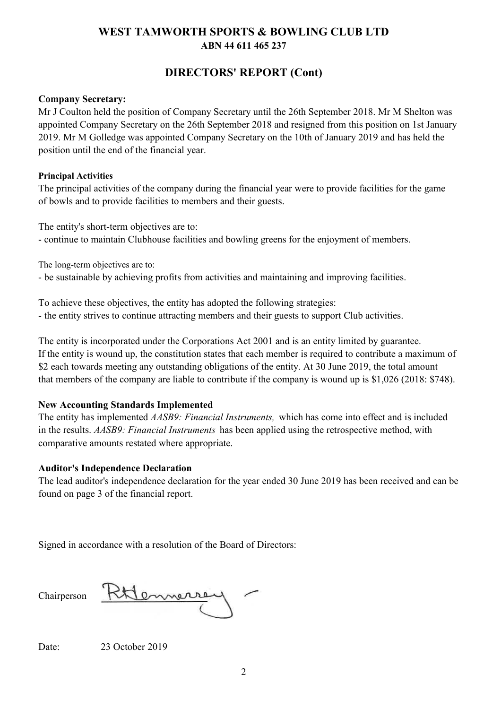## **ABN 44 611 465 237 WEST TAMWORTH SPORTS & BOWLING CLUB LTD**

## **DIRECTORS' REPORT (Cont)**

### **Company Secretary:**

Mr J Coulton held the position of Company Secretary until the 26th September 2018. Mr M Shelton was appointed Company Secretary on the 26th September 2018 and resigned from this position on 1st January 2019. Mr M Golledge was appointed Company Secretary on the 10th of January 2019 and has held the position until the end of the financial year.

### **Principal Activities**

The principal activities of the company during the financial year were to provide facilities for the game of bowls and to provide facilities to members and their guests.

The entity's short-term objectives are to:

- continue to maintain Clubhouse facilities and bowling greens for the enjoyment of members.

The long-term objectives are to:

- be sustainable by achieving profits from activities and maintaining and improving facilities.

To achieve these objectives, the entity has adopted the following strategies: - the entity strives to continue attracting members and their guests to support Club activities.

The entity is incorporated under the Corporations Act 2001 and is an entity limited by guarantee. If the entity is wound up, the constitution states that each member is required to contribute a maximum of \$2 each towards meeting any outstanding obligations of the entity. At 30 June 2019, the total amount that members of the company are liable to contribute if the company is wound up is \$1,026 (2018: \$748).

### **New Accounting Standards Implemented**

The entity has implemented *AASB9: Financial Instruments,* which has come into effect and is included in the results. *AASB9: Financial Instruments* has been applied using the retrospective method, with comparative amounts restated where appropriate.

### **Auditor's Independence Declaration**

The lead auditor's independence declaration for the year ended 30 June 2019 has been received and can be found on page 3 of the financial report.

Signed in accordance with a resolution of the Board of Directors:

Chairperson

Ettenner

Date:

23 October 2019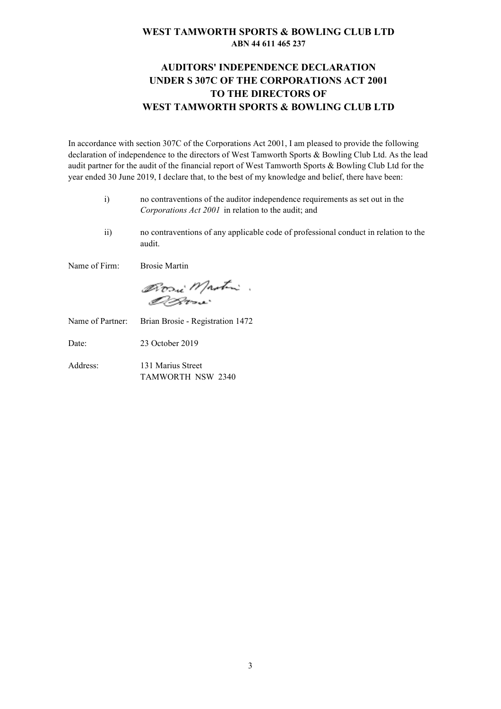### **ABN 44 611 465 237 WEST TAMWORTH SPORTS & BOWLING CLUB LTD**

## **WEST TAMWORTH SPORTS & BOWLING CLUB LTD AUDITORS' INDEPENDENCE DECLARATION UNDER S 307C OF THE CORPORATIONS ACT 2001 TO THE DIRECTORS OF**

In accordance with section 307C of the Corporations Act 2001, I am pleased to provide the following declaration of independence to the directors of West Tamworth Sports & Bowling Club Ltd. As the lead audit partner for the audit of the financial report of West Tamworth Sports & Bowling Club Ltd for the year ended 30 June 2019, I declare that, to the best of my knowledge and belief, there have been:

- i) no contraventions of the auditor independence requirements as set out in the *Corporations Act 2001* in relation to the audit; and
- ii) no contraventions of any applicable code of professional conduct in relation to the audit.

Name of Firm: Brosie Martin

Rosi Mastri.

Name of Partner: Brian Brosie - Registration 1472

Date: 23 October 2019

Address: 131 Marius Street TAMWORTH NSW 2340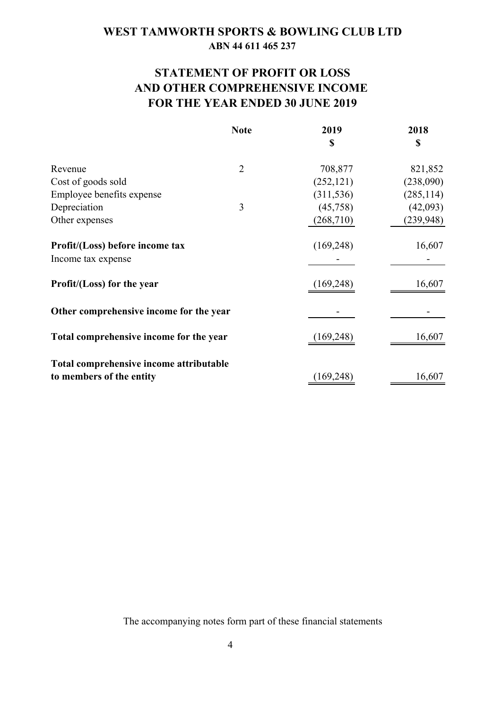## **STATEMENT OF PROFIT OR LOSS AND OTHER COMPREHENSIVE INCOME FOR THE YEAR ENDED 30 JUNE 2019**

|                                                                     | <b>Note</b>    | 2019       | 2018       |
|---------------------------------------------------------------------|----------------|------------|------------|
|                                                                     |                | \$         | \$         |
| Revenue                                                             | $\overline{2}$ | 708,877    | 821,852    |
| Cost of goods sold                                                  |                | (252, 121) | (238,090)  |
| Employee benefits expense                                           |                | (311, 536) | (285, 114) |
| Depreciation                                                        | 3              | (45,758)   | (42,093)   |
| Other expenses                                                      |                | (268, 710) | (239, 948) |
| Profit/(Loss) before income tax                                     |                | (169,248)  | 16,607     |
| Income tax expense                                                  |                |            |            |
| Profit/(Loss) for the year                                          |                | (169, 248) | 16,607     |
| Other comprehensive income for the year                             |                |            |            |
| Total comprehensive income for the year                             |                | (169,248   | 16,607     |
| Total comprehensive income attributable<br>to members of the entity |                | (169, 248) | 16,607     |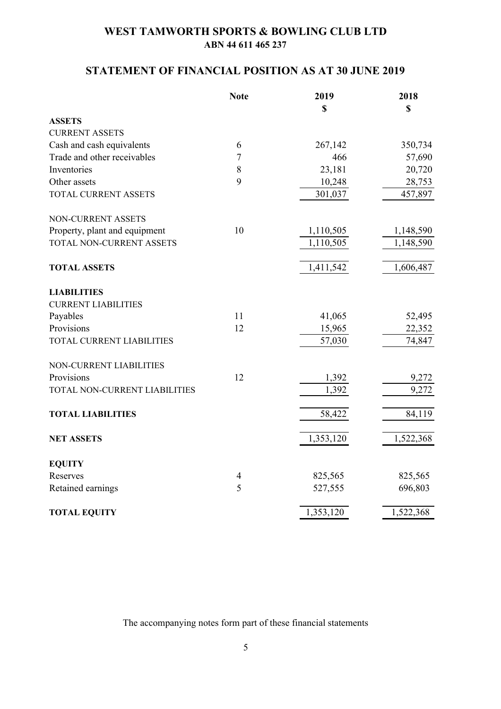## **STATEMENT OF FINANCIAL POSITION AS AT 30 JUNE 2019**

|                               | <b>Note</b>    | 2019        | 2018      |
|-------------------------------|----------------|-------------|-----------|
|                               |                | $\mathbf S$ | \$        |
| <b>ASSETS</b>                 |                |             |           |
| <b>CURRENT ASSETS</b>         |                |             |           |
| Cash and cash equivalents     | 6              | 267,142     | 350,734   |
| Trade and other receivables   | 7              | 466         | 57,690    |
| Inventories                   | $\, 8$         | 23,181      | 20,720    |
| Other assets                  | 9              | 10,248      | 28,753    |
| TOTAL CURRENT ASSETS          |                | 301,037     | 457,897   |
| <b>NON-CURRENT ASSETS</b>     |                |             |           |
| Property, plant and equipment | 10             | 1,110,505   | 1,148,590 |
| TOTAL NON-CURRENT ASSETS      |                | 1,110,505   | 1,148,590 |
| <b>TOTAL ASSETS</b>           |                | 1,411,542   | 1,606,487 |
| <b>LIABILITIES</b>            |                |             |           |
| <b>CURRENT LIABILITIES</b>    |                |             |           |
| Payables                      | 11             | 41,065      | 52,495    |
| Provisions                    | 12             | 15,965      | 22,352    |
| TOTAL CURRENT LIABILITIES     |                | 57,030      | 74,847    |
| NON-CURRENT LIABILITIES       |                |             |           |
| Provisions                    | 12             | 1,392       | 9,272     |
| TOTAL NON-CURRENT LIABILITIES |                | 1,392       | 9,272     |
| <b>TOTAL LIABILITIES</b>      |                | 58,422      | 84,119    |
| <b>NET ASSETS</b>             |                | 1,353,120   | 1,522,368 |
| <b>EQUITY</b>                 |                |             |           |
| Reserves                      | $\overline{4}$ | 825,565     | 825,565   |
| Retained earnings             | 5              | 527,555     | 696,803   |
| <b>TOTAL EQUITY</b>           |                | 1,353,120   | 1,522,368 |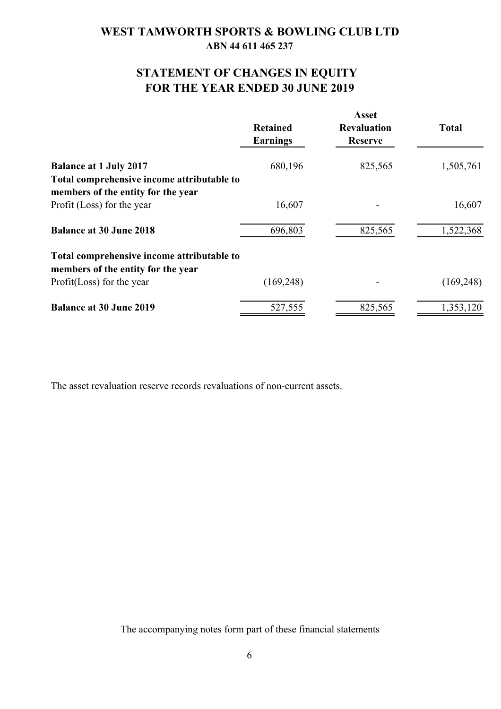## **FOR THE YEAR ENDED 30 JUNE 2019 STATEMENT OF CHANGES IN EQUITY**

|                                                                                  | <b>Retained</b><br><b>Earnings</b> | <b>Asset</b><br><b>Revaluation</b><br><b>Reserve</b> | <b>Total</b> |
|----------------------------------------------------------------------------------|------------------------------------|------------------------------------------------------|--------------|
| <b>Balance at 1 July 2017</b>                                                    | 680,196                            | 825,565                                              | 1,505,761    |
| Total comprehensive income attributable to                                       |                                    |                                                      |              |
| members of the entity for the year                                               |                                    |                                                      |              |
| Profit (Loss) for the year                                                       | 16,607                             |                                                      | 16,607       |
| <b>Balance at 30 June 2018</b>                                                   | 696,803                            | 825,565                                              | 1,522,368    |
| Total comprehensive income attributable to<br>members of the entity for the year |                                    |                                                      |              |
| Profit(Loss) for the year                                                        | (169, 248)                         |                                                      | (169, 248)   |
| <b>Balance at 30 June 2019</b>                                                   | 527,555                            | 825,565                                              | 1,353,120    |

The asset revaluation reserve records revaluations of non-current assets.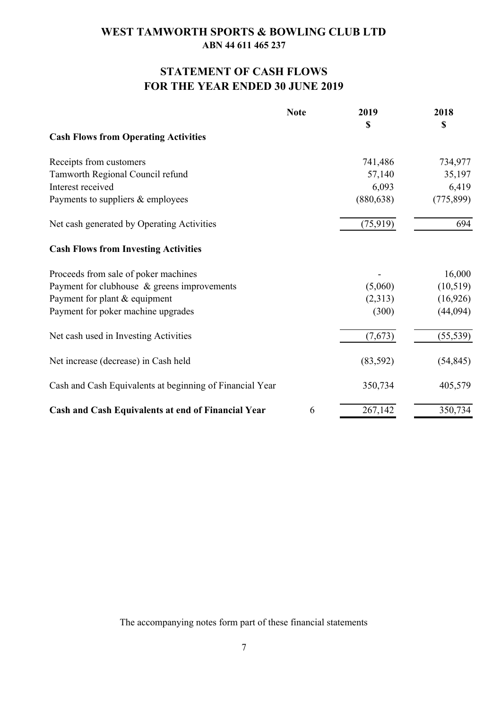## **FOR THE YEAR ENDED 30 JUNE 2019 STATEMENT OF CASH FLOWS**

|                                                          | <b>Note</b> | 2019       | 2018       |
|----------------------------------------------------------|-------------|------------|------------|
| <b>Cash Flows from Operating Activities</b>              |             | \$         | \$         |
|                                                          |             |            |            |
| Receipts from customers                                  |             | 741,486    | 734,977    |
| Tamworth Regional Council refund                         |             | 57,140     | 35,197     |
| Interest received                                        |             | 6,093      | 6,419      |
| Payments to suppliers & employees                        |             | (880, 638) | (775, 899) |
| Net cash generated by Operating Activities               |             | (75, 919)  | 694        |
| <b>Cash Flows from Investing Activities</b>              |             |            |            |
| Proceeds from sale of poker machines                     |             |            | 16,000     |
| Payment for clubhouse $\&$ greens improvements           |             | (5,060)    | (10,519)   |
| Payment for plant & equipment                            |             | (2,313)    | (16, 926)  |
| Payment for poker machine upgrades                       |             | (300)      | (44,094)   |
| Net cash used in Investing Activities                    |             | (7,673)    | (55, 539)  |
| Net increase (decrease) in Cash held                     |             | (83, 592)  | (54, 845)  |
| Cash and Cash Equivalents at beginning of Financial Year |             | 350,734    | 405,579    |
| Cash and Cash Equivalents at end of Financial Year       | 6           | 267,142    | 350,734    |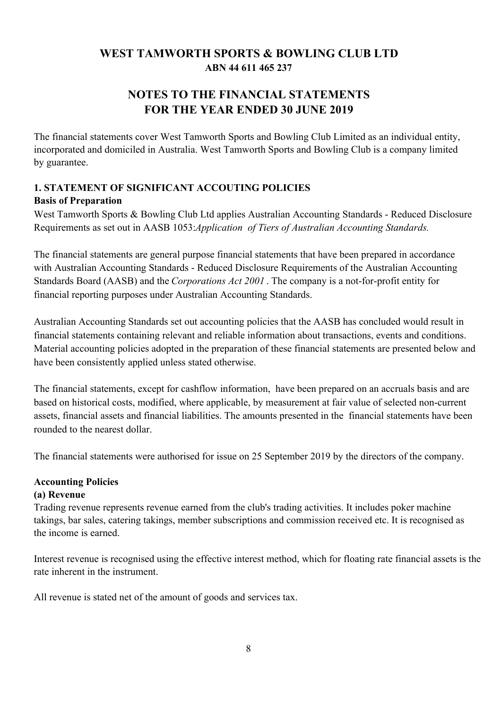## **NOTES TO THE FINANCIAL STATEMENTS FOR THE YEAR ENDED 30 JUNE 2019**

The financial statements cover West Tamworth Sports and Bowling Club Limited as an individual entity, incorporated and domiciled in Australia. West Tamworth Sports and Bowling Club is a company limited by guarantee.

## **1. STATEMENT OF SIGNIFICANT ACCOUTING POLICIES Basis of Preparation**

West Tamworth Sports & Bowling Club Ltd applies Australian Accounting Standards - Reduced Disclosure Requirements as set out in AASB 1053:*Application of Tiers of Australian Accounting Standards.*

The financial statements are general purpose financial statements that have been prepared in accordance with Australian Accounting Standards - Reduced Disclosure Requirements of the Australian Accounting Standards Board (AASB) and the *Corporations Act 2001* . The company is a not-for-profit entity for financial reporting purposes under Australian Accounting Standards.

Australian Accounting Standards set out accounting policies that the AASB has concluded would result in financial statements containing relevant and reliable information about transactions, events and conditions. Material accounting policies adopted in the preparation of these financial statements are presented below and have been consistently applied unless stated otherwise.

The financial statements, except for cashflow information, have been prepared on an accruals basis and are based on historical costs, modified, where applicable, by measurement at fair value of selected non-current assets, financial assets and financial liabilities. The amounts presented in the financial statements have been rounded to the nearest dollar.

The financial statements were authorised for issue on 25 September 2019 by the directors of the company.

### **Accounting Policies**

### **(a) Revenue**

Trading revenue represents revenue earned from the club's trading activities. It includes poker machine takings, bar sales, catering takings, member subscriptions and commission received etc. It is recognised as the income is earned.

Interest revenue is recognised using the effective interest method, which for floating rate financial assets is the rate inherent in the instrument.

All revenue is stated net of the amount of goods and services tax.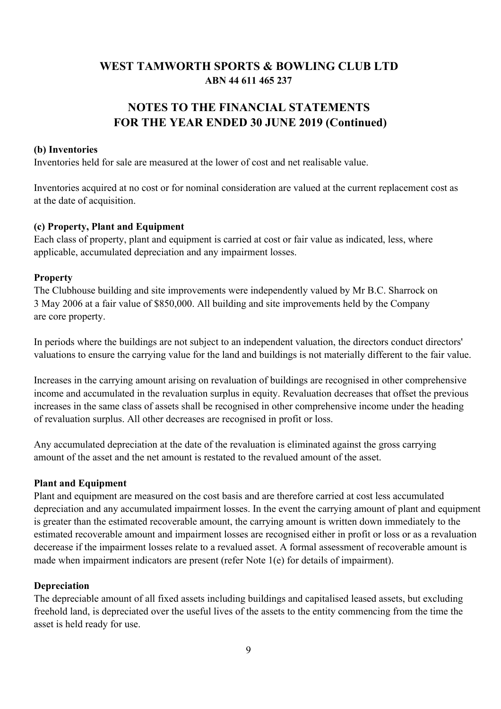## **NOTES TO THE FINANCIAL STATEMENTS FOR THE YEAR ENDED 30 JUNE 2019 (Continued)**

### **(b) Inventories**

Inventories held for sale are measured at the lower of cost and net realisable value.

Inventories acquired at no cost or for nominal consideration are valued at the current replacement cost as at the date of acquisition.

#### **(c) Property, Plant and Equipment**

Each class of property, plant and equipment is carried at cost or fair value as indicated, less, where applicable, accumulated depreciation and any impairment losses.

#### **Property**

The Clubhouse building and site improvements were independently valued by Mr B.C. Sharrock on 3 May 2006 at a fair value of \$850,000. All building and site improvements held by the Company are core property.

In periods where the buildings are not subject to an independent valuation, the directors conduct directors' valuations to ensure the carrying value for the land and buildings is not materially different to the fair value.

Increases in the carrying amount arising on revaluation of buildings are recognised in other comprehensive income and accumulated in the revaluation surplus in equity. Revaluation decreases that offset the previous increases in the same class of assets shall be recognised in other comprehensive income under the heading of revaluation surplus. All other decreases are recognised in profit or loss.

Any accumulated depreciation at the date of the revaluation is eliminated against the gross carrying amount of the asset and the net amount is restated to the revalued amount of the asset.

#### **Plant and Equipment**

Plant and equipment are measured on the cost basis and are therefore carried at cost less accumulated depreciation and any accumulated impairment losses. In the event the carrying amount of plant and equipment is greater than the estimated recoverable amount, the carrying amount is written down immediately to the estimated recoverable amount and impairment losses are recognised either in profit or loss or as a revaluation decerease if the impairment losses relate to a revalued asset. A formal assessment of recoverable amount is made when impairment indicators are present (refer Note 1(e) for details of impairment).

#### **Depreciation**

The depreciable amount of all fixed assets including buildings and capitalised leased assets, but excluding freehold land, is depreciated over the useful lives of the assets to the entity commencing from the time the asset is held ready for use.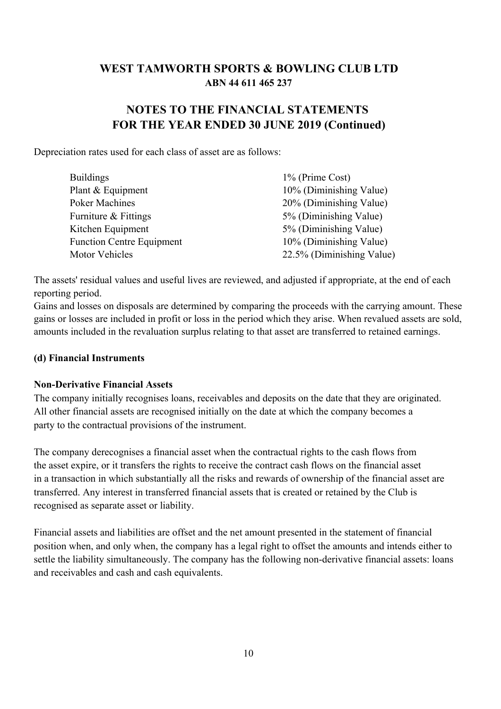## **NOTES TO THE FINANCIAL STATEMENTS FOR THE YEAR ENDED 30 JUNE 2019 (Continued)**

Depreciation rates used for each class of asset are as follows:

| <b>Buildings</b>                 | 1% (Prime Cost)           |
|----------------------------------|---------------------------|
| Plant & Equipment                | 10% (Diminishing Value)   |
| <b>Poker Machines</b>            | 20% (Diminishing Value)   |
| Furniture & Fittings             | 5% (Diminishing Value)    |
| Kitchen Equipment                | 5% (Diminishing Value)    |
| <b>Function Centre Equipment</b> | 10% (Diminishing Value)   |
| Motor Vehicles                   | 22.5% (Diminishing Value) |

The assets' residual values and useful lives are reviewed, and adjusted if appropriate, at the end of each reporting period.

Gains and losses on disposals are determined by comparing the proceeds with the carrying amount. These gains or losses are included in profit or loss in the period which they arise. When revalued assets are sold, amounts included in the revaluation surplus relating to that asset are transferred to retained earnings.

### **(d) Financial Instruments**

### **Non-Derivative Financial Assets**

The company initially recognises loans, receivables and deposits on the date that they are originated. All other financial assets are recognised initially on the date at which the company becomes a party to the contractual provisions of the instrument.

The company derecognises a financial asset when the contractual rights to the cash flows from the asset expire, or it transfers the rights to receive the contract cash flows on the financial asset in a transaction in which substantially all the risks and rewards of ownership of the financial asset are transferred. Any interest in transferred financial assets that is created or retained by the Club is recognised as separate asset or liability.

Financial assets and liabilities are offset and the net amount presented in the statement of financial position when, and only when, the company has a legal right to offset the amounts and intends either to settle the liability simultaneously. The company has the following non-derivative financial assets: loans and receivables and cash and cash equivalents.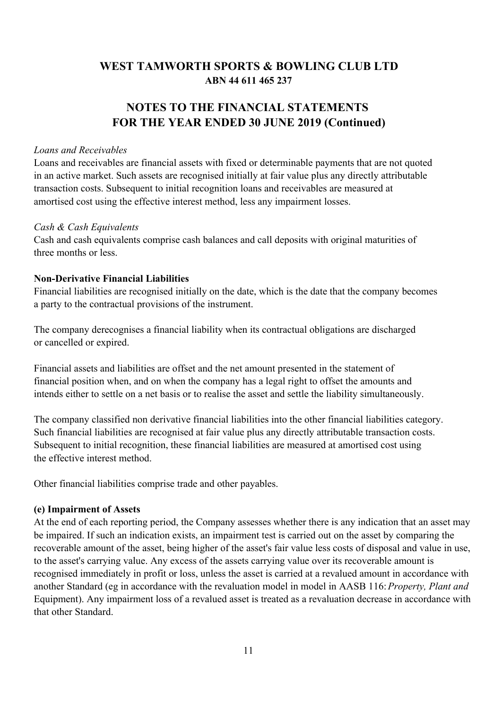## **NOTES TO THE FINANCIAL STATEMENTS FOR THE YEAR ENDED 30 JUNE 2019 (Continued)**

#### *Loans and Receivables*

Loans and receivables are financial assets with fixed or determinable payments that are not quoted in an active market. Such assets are recognised initially at fair value plus any directly attributable transaction costs. Subsequent to initial recognition loans and receivables are measured at amortised cost using the effective interest method, less any impairment losses.

#### *Cash & Cash Equivalents*

Cash and cash equivalents comprise cash balances and call deposits with original maturities of three months or less.

### **Non-Derivative Financial Liabilities**

Financial liabilities are recognised initially on the date, which is the date that the company becomes a party to the contractual provisions of the instrument.

The company derecognises a financial liability when its contractual obligations are discharged or cancelled or expired.

Financial assets and liabilities are offset and the net amount presented in the statement of financial position when, and on when the company has a legal right to offset the amounts and intends either to settle on a net basis or to realise the asset and settle the liability simultaneously.

The company classified non derivative financial liabilities into the other financial liabilities category. Such financial liabilities are recognised at fair value plus any directly attributable transaction costs. Subsequent to initial recognition, these financial liabilities are measured at amortised cost using the effective interest method.

Other financial liabilities comprise trade and other payables.

#### **(e) Impairment of Assets**

At the end of each reporting period, the Company assesses whether there is any indication that an asset may be impaired. If such an indication exists, an impairment test is carried out on the asset by comparing the recoverable amount of the asset, being higher of the asset's fair value less costs of disposal and value in use, to the asset's carrying value. Any excess of the assets carrying value over its recoverable amount is recognised immediately in profit or loss, unless the asset is carried at a revalued amount in accordance with another Standard (eg in accordance with the revaluation model in model in AASB 116: *Property, Plant and*  Equipment). Any impairment loss of a revalued asset is treated as a revaluation decrease in accordance with that other Standard.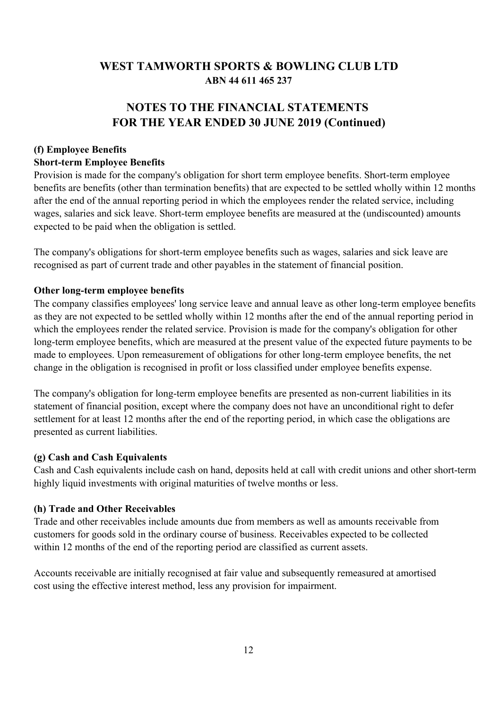## **NOTES TO THE FINANCIAL STATEMENTS FOR THE YEAR ENDED 30 JUNE 2019 (Continued)**

## **(f) Employee Benefits Short-term Employee Benefits**

Provision is made for the company's obligation for short term employee benefits. Short-term employee benefits are benefits (other than termination benefits) that are expected to be settled wholly within 12 months after the end of the annual reporting period in which the employees render the related service, including wages, salaries and sick leave. Short-term employee benefits are measured at the (undiscounted) amounts expected to be paid when the obligation is settled.

The company's obligations for short-term employee benefits such as wages, salaries and sick leave are recognised as part of current trade and other payables in the statement of financial position.

### **Other long-term employee benefits**

The company classifies employees' long service leave and annual leave as other long-term employee benefits as they are not expected to be settled wholly within 12 months after the end of the annual reporting period in which the employees render the related service. Provision is made for the company's obligation for other long-term employee benefits, which are measured at the present value of the expected future payments to be made to employees. Upon remeasurement of obligations for other long-term employee benefits, the net change in the obligation is recognised in profit or loss classified under employee benefits expense.

The company's obligation for long-term employee benefits are presented as non-current liabilities in its statement of financial position, except where the company does not have an unconditional right to defer settlement for at least 12 months after the end of the reporting period, in which case the obligations are presented as current liabilities.

### **(g) Cash and Cash Equivalents**

Cash and Cash equivalents include cash on hand, deposits held at call with credit unions and other short-term highly liquid investments with original maturities of twelve months or less.

## **(h) Trade and Other Receivables**

Trade and other receivables include amounts due from members as well as amounts receivable from customers for goods sold in the ordinary course of business. Receivables expected to be collected within 12 months of the end of the reporting period are classified as current assets.

Accounts receivable are initially recognised at fair value and subsequently remeasured at amortised cost using the effective interest method, less any provision for impairment.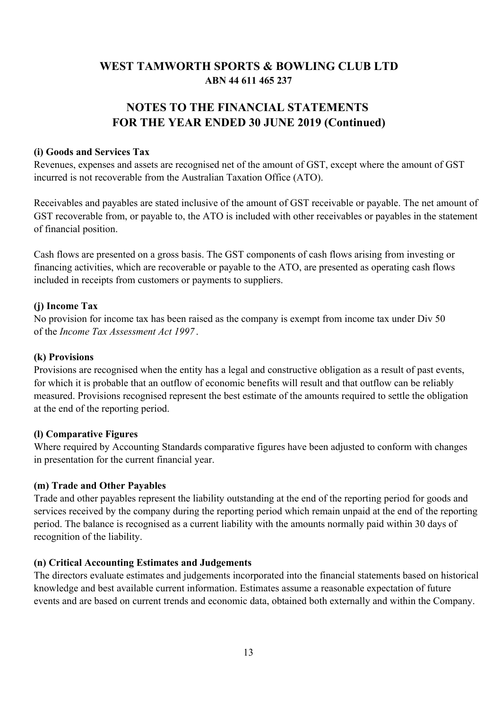## **NOTES TO THE FINANCIAL STATEMENTS FOR THE YEAR ENDED 30 JUNE 2019 (Continued)**

### **(i) Goods and Services Tax**

Revenues, expenses and assets are recognised net of the amount of GST, except where the amount of GST incurred is not recoverable from the Australian Taxation Office (ATO).

Receivables and payables are stated inclusive of the amount of GST receivable or payable. The net amount of GST recoverable from, or payable to, the ATO is included with other receivables or payables in the statement of financial position.

Cash flows are presented on a gross basis. The GST components of cash flows arising from investing or financing activities, which are recoverable or payable to the ATO, are presented as operating cash flows included in receipts from customers or payments to suppliers.

### **(j) Income Tax**

No provision for income tax has been raised as the company is exempt from income tax under Div 50 of the *Income Tax Assessment Act 1997* .

### **(k) Provisions**

Provisions are recognised when the entity has a legal and constructive obligation as a result of past events, for which it is probable that an outflow of economic benefits will result and that outflow can be reliably measured. Provisions recognised represent the best estimate of the amounts required to settle the obligation at the end of the reporting period.

### **(l) Comparative Figures**

Where required by Accounting Standards comparative figures have been adjusted to conform with changes in presentation for the current financial year.

### **(m) Trade and Other Payables**

Trade and other payables represent the liability outstanding at the end of the reporting period for goods and services received by the company during the reporting period which remain unpaid at the end of the reporting period. The balance is recognised as a current liability with the amounts normally paid within 30 days of recognition of the liability.

### **(n) Critical Accounting Estimates and Judgements**

The directors evaluate estimates and judgements incorporated into the financial statements based on historical knowledge and best available current information. Estimates assume a reasonable expectation of future events and are based on current trends and economic data, obtained both externally and within the Company.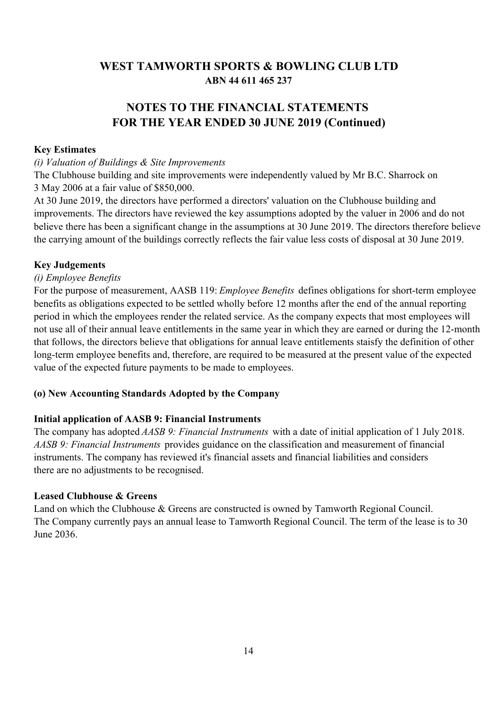## **ABN 44 611 465 237 WEST TAMWORTH SPORTS & BOWLING CLUB LTD**

## **FOR THE YEAR ENDED 30 JUNE 2019 (Continued) NOTES TO THE FINANCIAL STATEMENTS**

### **Key Estimates**

### *(i) Valuation of Buildings & Site Improvements*

The Clubhouse building and site improvements were independently valued by Mr B.C. Sharrock on 3 May 2006 at a fair value of \$850,000.

At 30 June 2019, the directors have performed a directors' valuation on the Clubhouse building and improvements. The directors have reviewed the key assumptions adopted by the valuer in 2006 and do not believe there has been a significant change in the assumptions at 30 June 2019. The directors therefore believe the carrying amount of the buildings correctly reflects the fair value less costs of disposal at 30 June 2019.

### **Key Judgements**

### *(i) Employee Benefits*

For the purpose of measurement, AASB 119: *Employee Benefits* defines obligations for short-term employee benefits as obligations expected to be settled wholly before 12 months after the end of the annual reporting period in which the employees render the related service. As the company expects that most employees will not use all of their annual leave entitlements in the same year in which they are earned or during the 12-month that follows, the directors believe that obligations for annual leave entitlements staisfy the definition of other long-term employee benefits and, therefore, are required to be measured at the present value of the expected value of the expected future payments to be made to employees.

### **(o) New Accounting Standards Adopted by the Company**

### **Initial application of AASB 9: Financial Instruments**

The company has adopted *AASB 9: Financial Instruments* with a date of initial application of 1 July 2018. *AASB 9: Financial Instruments* provides guidance on the classification and measurement of financial instruments. The company has reviewed it's financial assets and financial liabilities and considers there are no adjustments to be recognised.

### **Leased Clubhouse & Greens**

Land on which the Clubhouse & Greens are constructed is owned by Tamworth Regional Council. The Company currently pays an annual lease to Tamworth Regional Council. The term of the lease is to 30 June 2036.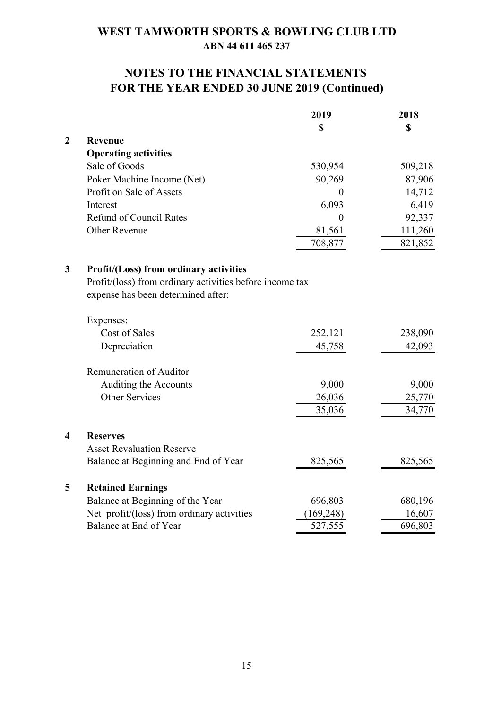## **FOR THE YEAR ENDED 30 JUNE 2019 (Continued) NOTES TO THE FINANCIAL STATEMENTS**

|                         |                                                          | 2019        | 2018        |
|-------------------------|----------------------------------------------------------|-------------|-------------|
|                         |                                                          | $\mathbf S$ | $\mathbf S$ |
| $\overline{2}$          | <b>Revenue</b>                                           |             |             |
|                         | <b>Operating activities</b>                              |             |             |
|                         | Sale of Goods                                            | 530,954     | 509,218     |
|                         | Poker Machine Income (Net)                               | 90,269      | 87,906      |
|                         | Profit on Sale of Assets                                 | $\Omega$    | 14,712      |
|                         | Interest                                                 | 6,093       | 6,419       |
|                         | <b>Refund of Council Rates</b>                           | $\Omega$    | 92,337      |
|                         | <b>Other Revenue</b>                                     | 81,561      | 111,260     |
|                         |                                                          | 708,877     | 821,852     |
| $\mathbf{3}$            | <b>Profit/(Loss) from ordinary activities</b>            |             |             |
|                         | Profit/(loss) from ordinary activities before income tax |             |             |
|                         | expense has been determined after:                       |             |             |
|                         | Expenses:                                                |             |             |
|                         | Cost of Sales                                            | 252,121     | 238,090     |
|                         | Depreciation                                             | 45,758      | 42,093      |
|                         | Remuneration of Auditor                                  |             |             |
|                         | Auditing the Accounts                                    | 9,000       | 9,000       |
|                         | <b>Other Services</b>                                    | 26,036      | 25,770      |
|                         |                                                          | 35,036      | 34,770      |
| $\overline{\mathbf{4}}$ | <b>Reserves</b>                                          |             |             |
|                         | <b>Asset Revaluation Reserve</b>                         |             |             |
|                         | Balance at Beginning and End of Year                     | 825,565     | 825,565     |
| 5                       | <b>Retained Earnings</b>                                 |             |             |
|                         | Balance at Beginning of the Year                         | 696,803     | 680,196     |
|                         | Net profit/(loss) from ordinary activities               | (169, 248)  | 16,607      |
|                         | Balance at End of Year                                   | 527,555     | 696,803     |
|                         |                                                          |             |             |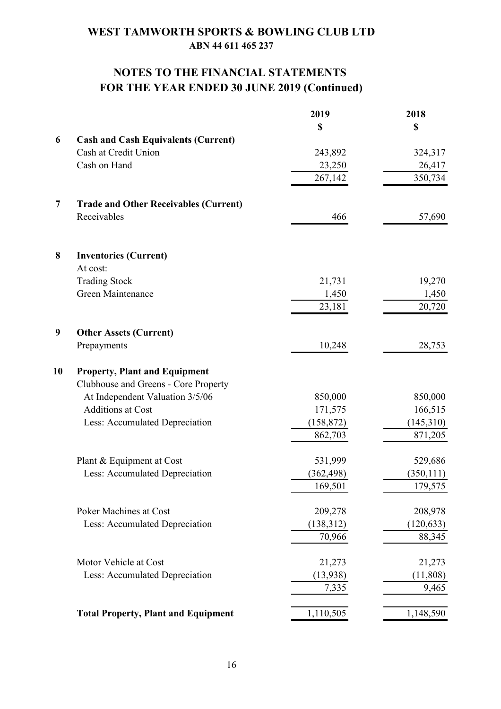## **NOTES TO THE FINANCIAL STATEMENTS FOR THE YEAR ENDED 30 JUNE 2019 (Continued)**

|    |                                              | 2019       | 2018       |
|----|----------------------------------------------|------------|------------|
|    |                                              | \$         | \$         |
| 6  | <b>Cash and Cash Equivalents (Current)</b>   |            |            |
|    | Cash at Credit Union                         | 243,892    | 324,317    |
|    | Cash on Hand                                 | 23,250     | 26,417     |
|    |                                              | 267,142    | 350,734    |
| 7  | <b>Trade and Other Receivables (Current)</b> |            |            |
|    | Receivables                                  | 466        | 57,690     |
| 8  | <b>Inventories (Current)</b>                 |            |            |
|    | At cost:                                     |            |            |
|    | <b>Trading Stock</b>                         | 21,731     | 19,270     |
|    | Green Maintenance                            | 1,450      | 1,450      |
|    |                                              | 23,181     | 20,720     |
| 9  | <b>Other Assets (Current)</b>                |            |            |
|    | Prepayments                                  | 10,248     | 28,753     |
| 10 | <b>Property, Plant and Equipment</b>         |            |            |
|    | Clubhouse and Greens - Core Property         |            |            |
|    | At Independent Valuation 3/5/06              | 850,000    | 850,000    |
|    | <b>Additions at Cost</b>                     | 171,575    | 166,515    |
|    | Less: Accumulated Depreciation               | (158, 872) | (145,310)  |
|    |                                              | 862,703    | 871,205    |
|    | Plant & Equipment at Cost                    | 531,999    | 529,686    |
|    | Less: Accumulated Depreciation               | (362, 498) | (350, 111) |
|    |                                              | 169,501    | 179,575    |
|    | Poker Machines at Cost                       | 209,278    | 208,978    |
|    | Less: Accumulated Depreciation               | (138,312)  | (120, 633) |
|    |                                              | 70,966     | 88,345     |
|    | Motor Vehicle at Cost                        | 21,273     | 21,273     |
|    | Less: Accumulated Depreciation               | (13,938)   | (11,808)   |
|    |                                              | 7,335      | 9,465      |
|    | <b>Total Property, Plant and Equipment</b>   | 1,110,505  | 1,148,590  |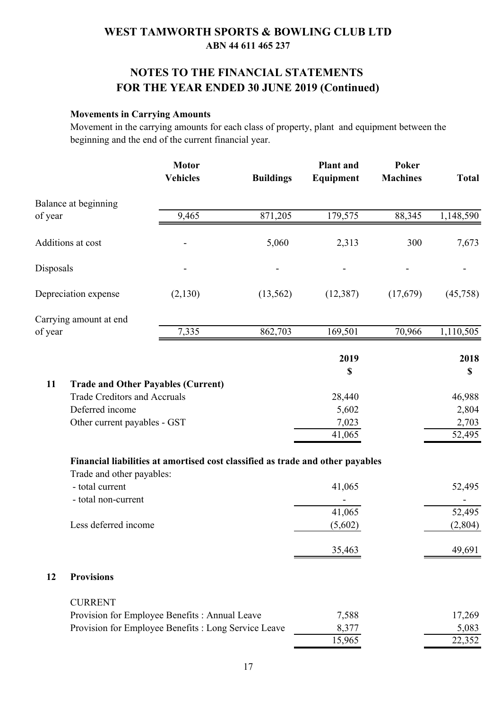## **NOTES TO THE FINANCIAL STATEMENTS FOR THE YEAR ENDED 30 JUNE 2019 (Continued)**

#### **Movements in Carrying Amounts**

Movement in the carrying amounts for each class of property, plant and equipment between the beginning and the end of the current financial year.

|           |                                     | <b>Motor</b><br><b>Vehicles</b>                                                | <b>Buildings</b> | <b>Plant</b> and<br>Equipment | Poker<br><b>Machines</b> | <b>Total</b> |
|-----------|-------------------------------------|--------------------------------------------------------------------------------|------------------|-------------------------------|--------------------------|--------------|
|           | Balance at beginning                |                                                                                |                  |                               |                          |              |
| of year   |                                     | 9,465                                                                          | 871,205          | 179,575                       | 88,345                   | 1,148,590    |
|           | Additions at cost                   |                                                                                | 5,060            | 2,313                         | 300                      | 7,673        |
| Disposals |                                     |                                                                                |                  |                               |                          |              |
|           | Depreciation expense                | (2,130)                                                                        | (13, 562)        | (12, 387)                     | (17,679)                 | (45,758)     |
|           | Carrying amount at end              |                                                                                |                  |                               |                          |              |
| of year   |                                     | 7,335                                                                          | 862,703          | 169,501                       | 70,966                   | 1,110,505    |
|           |                                     |                                                                                |                  | 2019                          |                          | 2018         |
|           |                                     |                                                                                |                  | \$                            |                          | \$           |
| 11        |                                     | <b>Trade and Other Payables (Current)</b>                                      |                  |                               |                          |              |
|           | <b>Trade Creditors and Accruals</b> |                                                                                |                  | 28,440                        |                          | 46,988       |
|           | Deferred income                     |                                                                                |                  | 5,602                         |                          | 2,804        |
|           | Other current payables - GST        |                                                                                |                  | 7,023                         |                          | 2,703        |
|           |                                     |                                                                                |                  | 41,065                        |                          | 52,495       |
|           |                                     | Financial liabilities at amortised cost classified as trade and other payables |                  |                               |                          |              |
|           | Trade and other payables:           |                                                                                |                  |                               |                          |              |
|           | - total current                     |                                                                                |                  | 41,065                        |                          | 52,495       |
|           | - total non-current                 |                                                                                |                  |                               |                          |              |
|           |                                     |                                                                                |                  | 41,065                        |                          | 52,495       |
|           | Less deferred income                |                                                                                |                  | (5,602)                       |                          | (2,804)      |
|           |                                     |                                                                                |                  | 35,463                        |                          | 49,691       |
| 12        | <b>Provisions</b>                   |                                                                                |                  |                               |                          |              |
|           | <b>CURRENT</b>                      |                                                                                |                  |                               |                          |              |
|           |                                     | Provision for Employee Benefits : Annual Leave                                 |                  | 7,588                         |                          | 17,269       |
|           |                                     | Provision for Employee Benefits : Long Service Leave                           |                  | 8,377                         |                          | 5,083        |
|           |                                     |                                                                                |                  | 15,965                        |                          | 22,352       |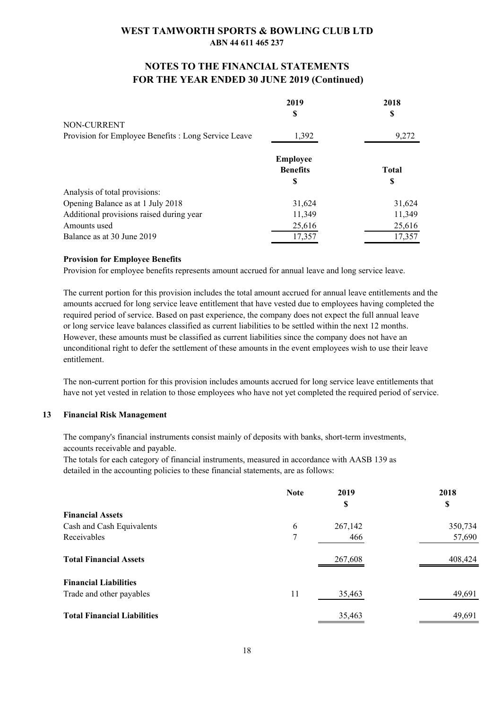## **NOTES TO THE FINANCIAL STATEMENTS FOR THE YEAR ENDED 30 JUNE 2019 (Continued)**

|                                                      | 2019            | 2018         |  |
|------------------------------------------------------|-----------------|--------------|--|
|                                                      | \$              | \$           |  |
| NON-CURRENT                                          |                 |              |  |
| Provision for Employee Benefits : Long Service Leave | 1,392           | 9,272        |  |
|                                                      | <b>Employee</b> |              |  |
|                                                      | <b>Benefits</b> | <b>Total</b> |  |
|                                                      | \$              | \$           |  |
| Analysis of total provisions:                        |                 |              |  |
| Opening Balance as at 1 July 2018                    | 31,624          | 31,624       |  |
| Additional provisions raised during year             | 11,349          | 11,349       |  |
| Amounts used                                         | 25,616          | 25,616       |  |
| Balance as at 30 June 2019                           | 17,357          | 17,357       |  |

#### **Provision for Employee Benefits**

Provision for employee benefits represents amount accrued for annual leave and long service leave.

The current portion for this provision includes the total amount accrued for annual leave entitlements and the amounts accrued for long service leave entitlement that have vested due to employees having completed the required period of service. Based on past experience, the company does not expect the full annual leave or long service leave balances classified as current liabilities to be settled within the next 12 months. However, these amounts must be classified as current liabilities since the company does not have an unconditional right to defer the settlement of these amounts in the event employees wish to use their leave entitlement.

The non-current portion for this provision includes amounts accrued for long service leave entitlements that have not yet vested in relation to those employees who have not yet completed the required period of service.

#### **13 Financial Risk Management**

The company's financial instruments consist mainly of deposits with banks, short-term investments, accounts receivable and payable.

The totals for each category of financial instruments, measured in accordance with AASB 139 as detailed in the accounting policies to these financial statements, are as follows:

|                                    | <b>Note</b> | 2019    | 2018    |
|------------------------------------|-------------|---------|---------|
|                                    |             | \$      | \$      |
| <b>Financial Assets</b>            |             |         |         |
| Cash and Cash Equivalents          | 6           | 267,142 | 350,734 |
| Receivables                        | 7           | 466     | 57,690  |
| <b>Total Financial Assets</b>      |             | 267,608 | 408,424 |
| <b>Financial Liabilities</b>       |             |         |         |
| Trade and other payables           | 11          | 35,463  | 49,691  |
| <b>Total Financial Liabilities</b> |             | 35,463  | 49,691  |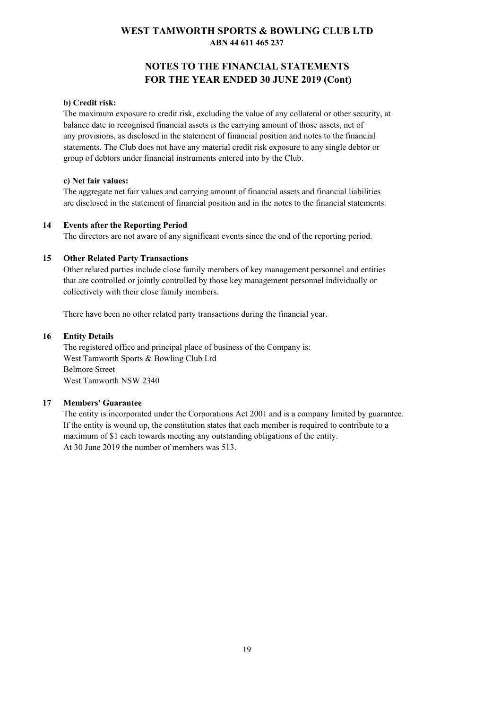## **NOTES TO THE FINANCIAL STATEMENTS FOR THE YEAR ENDED 30 JUNE 2019 (Cont)**

#### **b) Credit risk:**

The maximum exposure to credit risk, excluding the value of any collateral or other security, at balance date to recognised financial assets is the carrying amount of those assets, net of any provisions, as disclosed in the statement of financial position and notes to the financial statements. The Club does not have any material credit risk exposure to any single debtor or group of debtors under financial instruments entered into by the Club.

#### **c) Net fair values:**

The aggregate net fair values and carrying amount of financial assets and financial liabilities are disclosed in the statement of financial position and in the notes to the financial statements.

#### **14 Events after the Reporting Period**

The directors are not aware of any significant events since the end of the reporting period.

#### **15 Other Related Party Transactions**

Other related parties include close family members of key management personnel and entities that are controlled or jointly controlled by those key management personnel individually or collectively with their close family members.

There have been no other related party transactions during the financial year.

#### **16 Entity Details**

The registered office and principal place of business of the Company is: West Tamworth Sports & Bowling Club Ltd Belmore Street West Tamworth NSW 2340

#### **17 Members' Guarantee**

The entity is incorporated under the Corporations Act 2001 and is a company limited by guarantee. If the entity is wound up, the constitution states that each member is required to contribute to a maximum of \$1 each towards meeting any outstanding obligations of the entity. At 30 June 2019 the number of members was 513.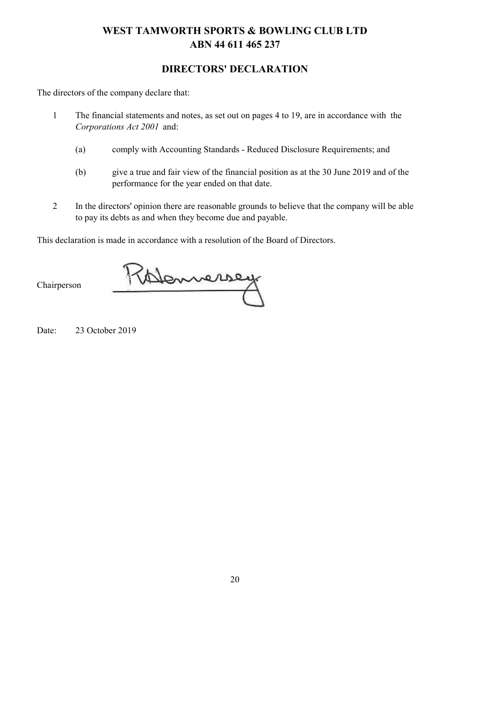### **DIRECTORS' DECLARATION**

The directors of the company declare that:

- 1 The financial statements and notes, as set out on pages 4 to 19, are in accordance with the *Corporations Act 2001* and:
	- (a) comply with Accounting Standards Reduced Disclosure Requirements; and
	- (b) give a true and fair view of the financial position as at the 30 June 2019 and of the performance for the year ended on that date.
- 2 In the directors' opinion there are reasonable grounds to believe that the company will be able to pay its debts as and when they become due and payable.

This declaration is made in accordance with a resolution of the Board of Directors.

Chairperson

Kolemarsey

Date: 23 October 2019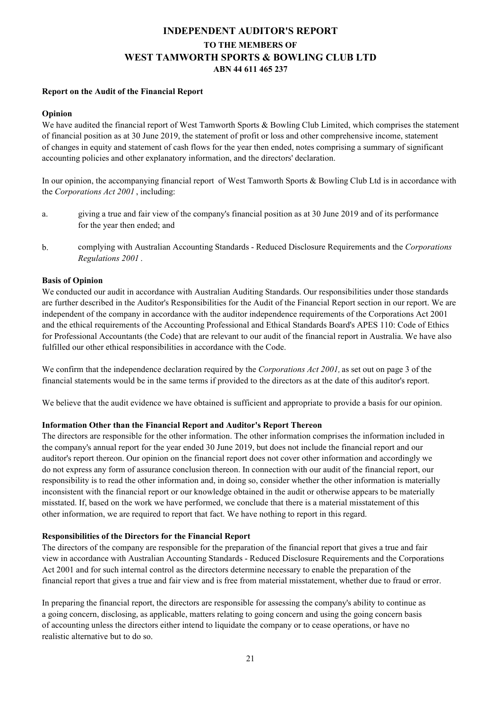## **INDEPENDENT AUDITOR'S REPORT TO THE MEMBERS OF WEST TAMWORTH SPORTS & BOWLING CLUB LTD ABN 44 611 465 237**

#### **Report on the Audit of the Financial Report**

#### **Opinion**

We have audited the financial report of West Tamworth Sports & Bowling Club Limited, which comprises the statement of financial position as at 30 June 2019, the statement of profit or loss and other comprehensive income, statement of changes in equity and statement of cash flows for the year then ended, notes comprising a summary of significant accounting policies and other explanatory information, and the directors' declaration.

In our opinion, the accompanying financial report of West Tamworth Sports & Bowling Club Ltd is in accordance with the *Corporations Act 2001* , including:

- a. giving a true and fair view of the company's financial position as at 30 June 2019 and of its performance for the year then ended; and
- b. complying with Australian Accounting Standards Reduced Disclosure Requirements and the *Corporations Regulations 2001* .

#### **Basis of Opinion**

We conducted our audit in accordance with Australian Auditing Standards. Our responsibilities under those standards are further described in the Auditor's Responsibilities for the Audit of the Financial Report section in our report. We are independent of the company in accordance with the auditor independence requirements of the Corporations Act 2001 and the ethical requirements of the Accounting Professional and Ethical Standards Board's APES 110: Code of Ethics for Professional Accountants (the Code) that are relevant to our audit of the financial report in Australia. We have also fulfilled our other ethical responsibilities in accordance with the Code.

We confirm that the independence declaration required by the *Corporations Act 2001,* as set out on page 3 of the financial statements would be in the same terms if provided to the directors as at the date of this auditor's report.

We believe that the audit evidence we have obtained is sufficient and appropriate to provide a basis for our opinion.

#### **Information Other than the Financial Report and Auditor's Report Thereon**

The directors are responsible for the other information. The other information comprises the information included in the company's annual report for the year ended 30 June 2019, but does not include the financial report and our auditor's report thereon. Our opinion on the financial report does not cover other information and accordingly we do not express any form of assurance conclusion thereon. In connection with our audit of the financial report, our responsibility is to read the other information and, in doing so, consider whether the other information is materially inconsistent with the financial report or our knowledge obtained in the audit or otherwise appears to be materially misstated. If, based on the work we have performed, we conclude that there is a material misstatement of this other information, we are required to report that fact. We have nothing to report in this regard.

#### **Responsibilities of the Directors for the Financial Report**

The directors of the company are responsible for the preparation of the financial report that gives a true and fair view in accordance with Australian Accounting Standards - Reduced Disclosure Requirements and the Corporations Act 2001 and for such internal control as the directors determine necessary to enable the preparation of the financial report that gives a true and fair view and is free from material misstatement, whether due to fraud or error.

In preparing the financial report, the directors are responsible for assessing the company's ability to continue as a going concern, disclosing, as applicable, matters relating to going concern and using the going concern basis of accounting unless the directors either intend to liquidate the company or to cease operations, or have no realistic alternative but to do so.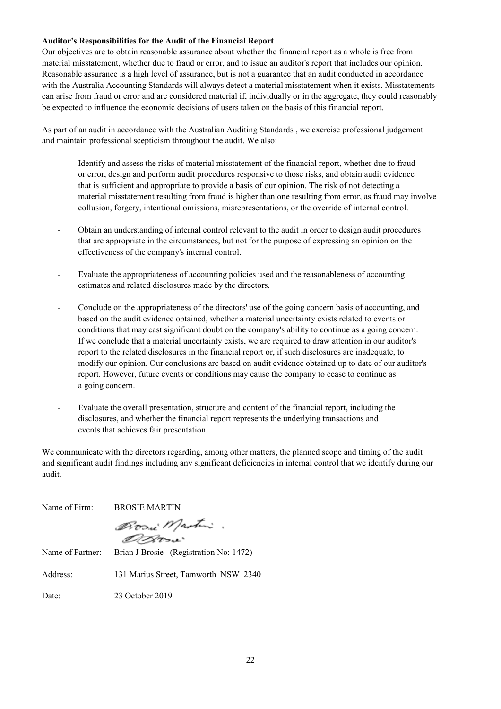#### **Auditor's Responsibilities for the Audit of the Financial Report**

Our objectives are to obtain reasonable assurance about whether the financial report as a whole is free from material misstatement, whether due to fraud or error, and to issue an auditor's report that includes our opinion. Reasonable assurance is a high level of assurance, but is not a guarantee that an audit conducted in accordance with the Australia Accounting Standards will always detect a material misstatement when it exists. Misstatements can arise from fraud or error and are considered material if, individually or in the aggregate, they could reasonably be expected to influence the economic decisions of users taken on the basis of this financial report.

As part of an audit in accordance with the Australian Auditing Standards , we exercise professional judgement and maintain professional scepticism throughout the audit. We also:

- Identify and assess the risks of material misstatement of the financial report, whether due to fraud or error, design and perform audit procedures responsive to those risks, and obtain audit evidence that is sufficient and appropriate to provide a basis of our opinion. The risk of not detecting a material misstatement resulting from fraud is higher than one resulting from error, as fraud may involve collusion, forgery, intentional omissions, misrepresentations, or the override of internal control.
- Obtain an understanding of internal control relevant to the audit in order to design audit procedures that are appropriate in the circumstances, but not for the purpose of expressing an opinion on the effectiveness of the company's internal control.
- Evaluate the appropriateness of accounting policies used and the reasonableness of accounting estimates and related disclosures made by the directors.
- Conclude on the appropriateness of the directors' use of the going concern basis of accounting, and based on the audit evidence obtained, whether a material uncertainty exists related to events or conditions that may cast significant doubt on the company's ability to continue as a going concern. If we conclude that a material uncertainty exists, we are required to draw attention in our auditor's report to the related disclosures in the financial report or, if such disclosures are inadequate, to modify our opinion. Our conclusions are based on audit evidence obtained up to date of our auditor's report. However, future events or conditions may cause the company to cease to continue as a going concern.
- Evaluate the overall presentation, structure and content of the financial report, including the disclosures, and whether the financial report represents the underlying transactions and events that achieves fair presentation.

We communicate with the directors regarding, among other matters, the planned scope and timing of the audit and significant audit findings including any significant deficiencies in internal control that we identify during our audit.

Name of Firm: BROSIE MARTIN

Bosni Mastri.

Name of Partner: Brian J Brosie (Registration No: 1472)

Address: 131 Marius Street, Tamworth NSW 2340

Date: 23 October 2019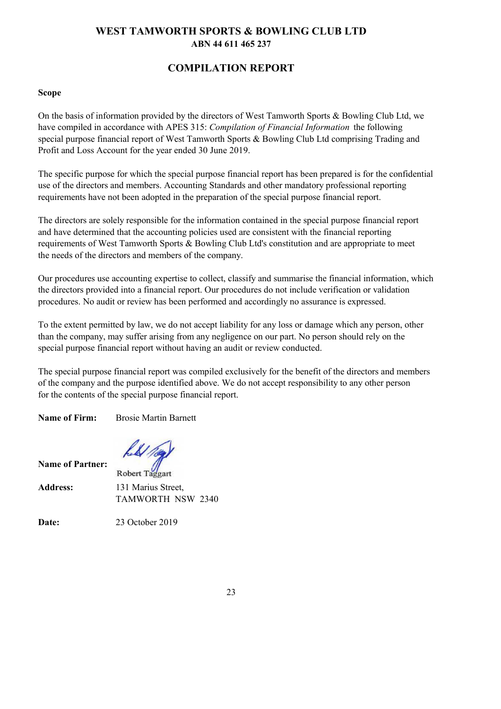## **COMPILATION REPORT**

#### **Scope**

On the basis of information provided by the directors of West Tamworth Sports & Bowling Club Ltd, we have compiled in accordance with APES 315: *Compilation of Financial Information* the following special purpose financial report of West Tamworth Sports & Bowling Club Ltd comprising Trading and Profit and Loss Account for the year ended 30 June 2019.

The specific purpose for which the special purpose financial report has been prepared is for the confidential use of the directors and members. Accounting Standards and other mandatory professional reporting requirements have not been adopted in the preparation of the special purpose financial report.

The directors are solely responsible for the information contained in the special purpose financial report and have determined that the accounting policies used are consistent with the financial reporting requirements of West Tamworth Sports & Bowling Club Ltd's constitution and are appropriate to meet the needs of the directors and members of the company.

Our procedures use accounting expertise to collect, classify and summarise the financial information, which the directors provided into a financial report. Our procedures do not include verification or validation procedures. No audit or review has been performed and accordingly no assurance is expressed.

To the extent permitted by law, we do not accept liability for any loss or damage which any person, other than the company, may suffer arising from any negligence on our part. No person should rely on the special purpose financial report without having an audit or review conducted.

The special purpose financial report was compiled exclusively for the benefit of the directors and members of the company and the purpose identified above. We do not accept responsibility to any other person for the contents of the special purpose financial report.

**Name of Firm:** Brosie Martin Barnett

| <b>Name of Partner:</b> | Robert Taggart                          |
|-------------------------|-----------------------------------------|
| <b>Address:</b>         | 131 Marius Street,<br>TAMWORTH NSW 2340 |
| Date:                   | 23 October 2019                         |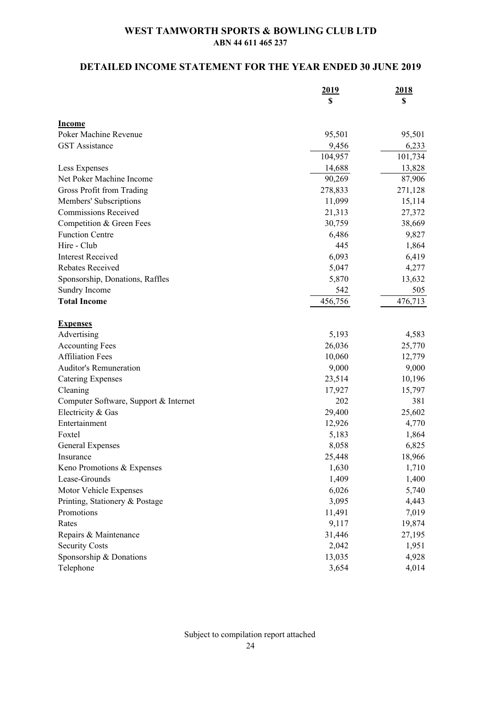## **DETAILED INCOME STATEMENT FOR THE YEAR ENDED 30 JUNE 2019**

|                                       | 2019<br><sup>\$</sup> | 2018<br>\$ |
|---------------------------------------|-----------------------|------------|
|                                       |                       |            |
| <b>Income</b>                         |                       |            |
| Poker Machine Revenue                 | 95,501                | 95,501     |
| <b>GST</b> Assistance                 | 9,456                 | 6,233      |
|                                       | 104,957               | 101,734    |
| Less Expenses                         | 14,688                | 13,828     |
| Net Poker Machine Income              | 90,269                | 87,906     |
| Gross Profit from Trading             | 278,833               | 271,128    |
| Members' Subscriptions                | 11,099                | 15,114     |
| <b>Commissions Received</b>           | 21,313                | 27,372     |
| Competition & Green Fees              | 30,759                | 38,669     |
| <b>Function Centre</b>                | 6,486                 | 9,827      |
| Hire - Club                           | 445                   | 1,864      |
| <b>Interest Received</b>              | 6,093                 | 6,419      |
| <b>Rebates Received</b>               | 5,047                 | 4,277      |
| Sponsorship, Donations, Raffles       | 5,870                 | 13,632     |
| Sundry Income                         | 542                   | 505        |
| <b>Total Income</b>                   | 456,756               | 476,713    |
|                                       |                       |            |
| <b>Expenses</b>                       |                       |            |
| Advertising                           | 5,193                 | 4,583      |
| <b>Accounting Fees</b>                | 26,036                | 25,770     |
| <b>Affiliation Fees</b>               | 10,060                | 12,779     |
| <b>Auditor's Remuneration</b>         | 9,000                 | 9,000      |
| <b>Catering Expenses</b>              | 23,514                | 10,196     |
| Cleaning                              | 17,927                | 15,797     |
| Computer Software, Support & Internet | 202                   | 381        |
| Electricity & Gas                     | 29,400                | 25,602     |
| Entertainment                         | 12,926                | 4,770      |
| Foxtel                                | 5,183                 | 1,864      |
| General Expenses                      | 8,058                 | 6,825      |
| Insurance                             | 25,448                | 18,966     |
| Keno Promotions & Expenses            | 1,630                 | 1,710      |
| Lease-Grounds                         | 1,409                 | 1,400      |
| Motor Vehicle Expenses                | 6,026                 | 5,740      |
| Printing, Stationery & Postage        | 3,095                 | 4,443      |
| Promotions                            | 11,491                | 7,019      |
| Rates                                 | 9,117                 | 19,874     |
| Repairs & Maintenance                 | 31,446                | 27,195     |
| <b>Security Costs</b>                 | 2,042                 | 1,951      |
| Sponsorship & Donations               | 13,035                | 4,928      |
| Telephone                             | 3,654                 | 4,014      |

Subject to compilation report attached 24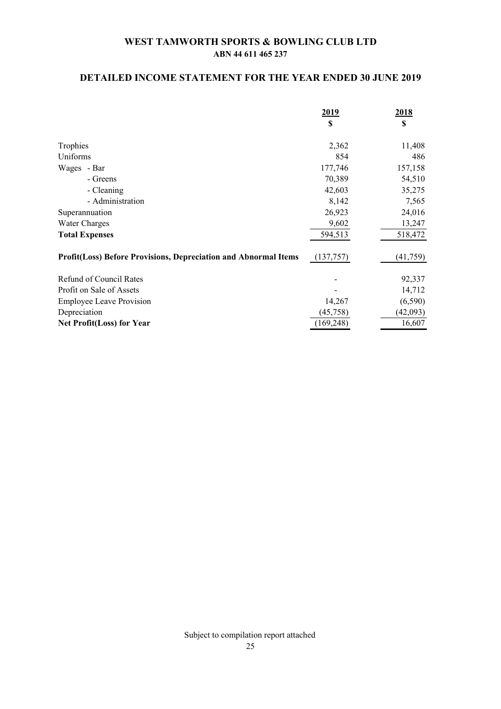## **DETAILED INCOME STATEMENT FOR THE YEAR ENDED 30 JUNE 2019**

|                                                                 | <u>2019</u><br>\$ | 2018<br>\$ |
|-----------------------------------------------------------------|-------------------|------------|
|                                                                 |                   |            |
| Trophies                                                        | 2,362             | 11,408     |
| Uniforms                                                        | 854               | 486        |
| Wages - Bar                                                     | 177,746           | 157,158    |
| - Greens                                                        | 70,389            | 54,510     |
| - Cleaning                                                      | 42,603            | 35,275     |
| - Administration                                                | 8,142             | 7,565      |
| Superannuation                                                  | 26,923            | 24,016     |
| <b>Water Charges</b>                                            | 9,602             | 13,247     |
| <b>Total Expenses</b>                                           | 594,513           | 518,472    |
| Profit(Loss) Before Provisions, Depreciation and Abnormal Items | (137, 757)        | (41, 759)  |
| <b>Refund of Council Rates</b>                                  |                   | 92,337     |
| Profit on Sale of Assets                                        |                   | 14,712     |
| <b>Employee Leave Provision</b>                                 | 14,267            | (6,590)    |
| Depreciation                                                    | (45, 758)         | (42,093)   |
| <b>Net Profit(Loss) for Year</b>                                | (169, 248)        | 16,607     |

25 Subject to compilation report attached